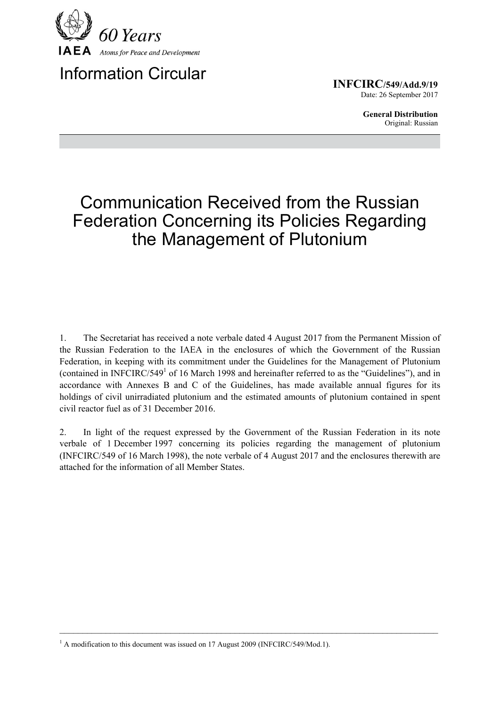

Information Circular

**INFCIRC/549/Add.9/19** Date: 26 September 2017

> **General Distribution** Original: Russian

## Communication Received from the Russian Federation Concerning its Policies Regarding the Management of Plutonium

1. The Secretariat has received a note verbale dated 4 August 2017 from the Permanent Mission of the Russian Federation to the IAEA in the enclosures of which the Government of the Russian Federation, in keeping with its commitment under the Guidelines for the Management of Plutonium (contained in INFCIRC/549<sup>1</sup> of 16 March 1998 and hereinafter referred to as the "Guidelines"), and in accordance with Annexes B and C of the Guidelines, has made available annual figures for its holdings of civil unirradiated plutonium and the estimated amounts of plutonium contained in spent civil reactor fuel as of 31 December 2016.

2. In light of the request expressed by the Government of the Russian Federation in its note verbale of 1 December 1997 concerning its policies regarding the management of plutonium (INFCIRC/549 of 16 March 1998), the note verbale of 4 August 2017 and the enclosures therewith are attached for the information of all Member States.

 $\mathcal{L}_\mathcal{L} = \{ \mathcal{L}_\mathcal{L} = \{ \mathcal{L}_\mathcal{L} = \{ \mathcal{L}_\mathcal{L} = \{ \mathcal{L}_\mathcal{L} = \{ \mathcal{L}_\mathcal{L} = \{ \mathcal{L}_\mathcal{L} = \{ \mathcal{L}_\mathcal{L} = \{ \mathcal{L}_\mathcal{L} = \{ \mathcal{L}_\mathcal{L} = \{ \mathcal{L}_\mathcal{L} = \{ \mathcal{L}_\mathcal{L} = \{ \mathcal{L}_\mathcal{L} = \{ \mathcal{L}_\mathcal{L} = \{ \mathcal{L}_\mathcal{$ 

<sup>&</sup>lt;sup>1</sup> A modification to this document was issued on 17 August 2009 (INFCIRC/549/Mod.1).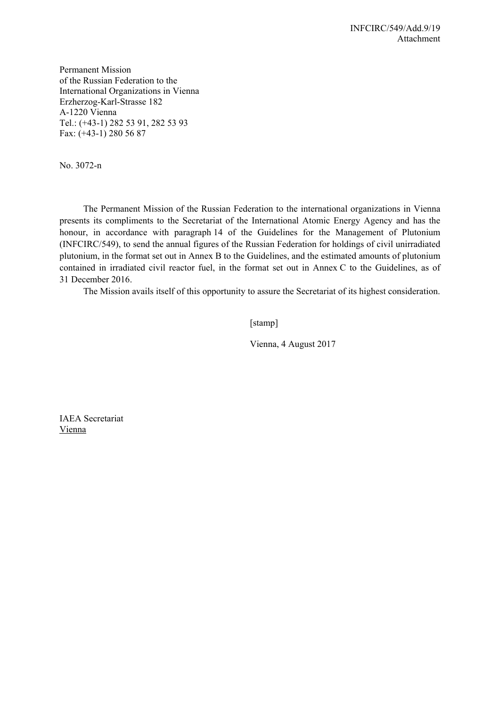Permanent Mission of the Russian Federation to the International Organizations in Vienna Erzherzog-Karl-Strasse 182 А-1220 Vienna Теl.: (+43-1) 282 53 91, 282 53 93 Fах: (+43-1) 280 56 87

No. 3072-n

 The Permanent Mission of the Russian Federation to the international organizations in Vienna presents its compliments to the Secretariat of the International Atomic Energy Agency and has the honour, in accordance with paragraph 14 of the Guidelines for the Management of Plutonium (INFCIRC/549), to send the annual figures of the Russian Federation for holdings of civil unirradiated plutonium, in the format set out in Annex B to the Guidelines, and the estimated amounts of plutonium contained in irradiated civil reactor fuel, in the format set out in Annex C to the Guidelines, as of 31 December 2016.

The Mission avails itself of this opportunity to assure the Secretariat of its highest consideration.

[stamp]

Vienna, 4 August 2017

IAEA Secretariat Vienna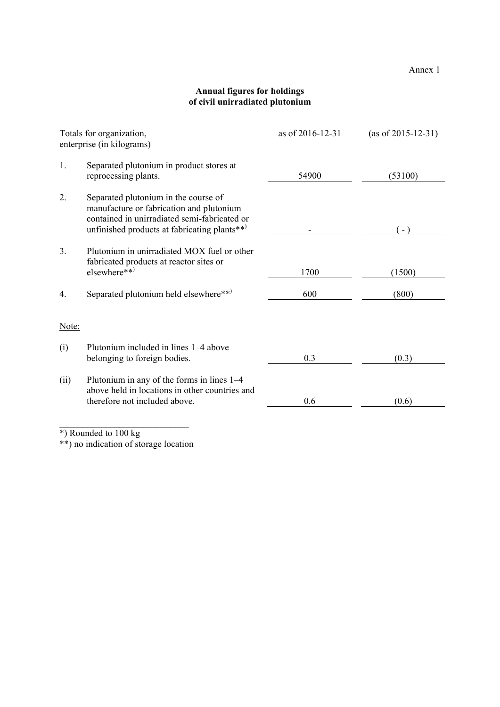Annex 1

## **Annual figures for holdings of civil unirradiated plutonium**

| Totals for organization,<br>enterprise (in kilograms) |                                                                                                                                                                                  | as of 2016-12-31 | $(as of 2015-12-31)$ |
|-------------------------------------------------------|----------------------------------------------------------------------------------------------------------------------------------------------------------------------------------|------------------|----------------------|
| 1.                                                    | Separated plutonium in product stores at<br>reprocessing plants.                                                                                                                 | 54900            | (53100)              |
| 2.                                                    | Separated plutonium in the course of<br>manufacture or fabrication and plutonium<br>contained in unirradiated semi-fabricated or<br>unfinished products at fabricating plants**) |                  | $-$ )                |
| 3.                                                    | Plutonium in unirradiated MOX fuel or other<br>fabricated products at reactor sites or<br>elsewhere**)                                                                           | 1700             | (1500)               |
| 4.                                                    | Separated plutonium held elsewhere**)                                                                                                                                            | 600              | (800)                |
| Note:                                                 |                                                                                                                                                                                  |                  |                      |
| (i)                                                   | Plutonium included in lines 1–4 above<br>belonging to foreign bodies.                                                                                                            | 0.3              | (0.3)                |
| (ii)                                                  | Plutonium in any of the forms in lines 1–4<br>above held in locations in other countries and<br>therefore not included above.                                                    | 0.6              | (0.6)                |

\*) Rounded to 100 kg

\*\*) no indication of storage location

 $\mathcal{L}_\text{max}$